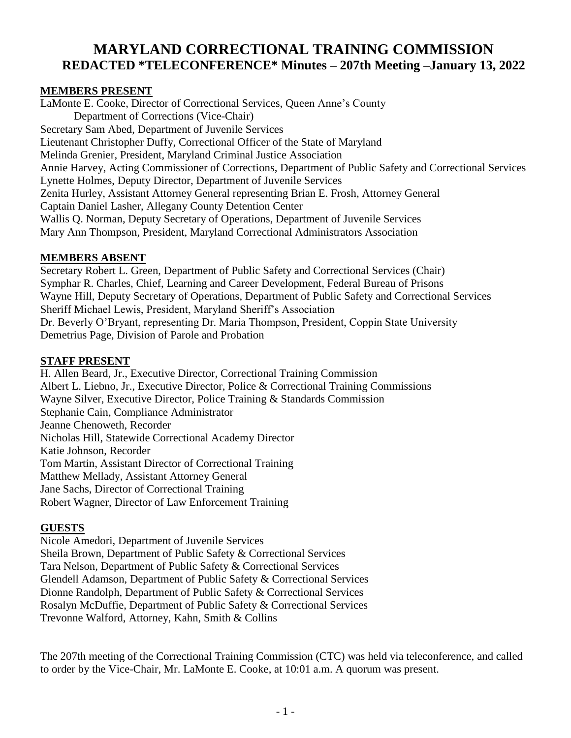# **MARYLAND CORRECTIONAL TRAINING COMMISSION REDACTED \*TELECONFERENCE\* Minutes – 207th Meeting –January 13, 2022**

#### **MEMBERS PRESENT**

LaMonte E. Cooke, Director of Correctional Services, Queen Anne's County Department of Corrections (Vice-Chair) Secretary Sam Abed, Department of Juvenile Services Lieutenant Christopher Duffy, Correctional Officer of the State of Maryland Melinda Grenier, President, Maryland Criminal Justice Association Annie Harvey, Acting Commissioner of Corrections, Department of Public Safety and Correctional Services Lynette Holmes, Deputy Director, Department of Juvenile Services Zenita Hurley, Assistant Attorney General representing Brian E. Frosh, Attorney General Captain Daniel Lasher, Allegany County Detention Center Wallis Q. Norman, Deputy Secretary of Operations, Department of Juvenile Services Mary Ann Thompson, President, Maryland Correctional Administrators Association

#### **MEMBERS ABSENT**

Secretary Robert L. Green, Department of Public Safety and Correctional Services (Chair) Symphar R. Charles, Chief, Learning and Career Development, Federal Bureau of Prisons Wayne Hill, Deputy Secretary of Operations, Department of Public Safety and Correctional Services Sheriff Michael Lewis, President, Maryland Sheriff's Association Dr. Beverly O'Bryant, representing Dr. Maria Thompson, President, Coppin State University Demetrius Page, Division of Parole and Probation

#### **STAFF PRESENT**

H. Allen Beard, Jr., Executive Director, Correctional Training Commission Albert L. Liebno, Jr., Executive Director, Police & Correctional Training Commissions Wayne Silver, Executive Director, Police Training & Standards Commission Stephanie Cain, Compliance Administrator Jeanne Chenoweth, Recorder Nicholas Hill, Statewide Correctional Academy Director Katie Johnson, Recorder Tom Martin, Assistant Director of Correctional Training Matthew Mellady, Assistant Attorney General Jane Sachs, Director of Correctional Training Robert Wagner, Director of Law Enforcement Training

# **GUESTS**

Nicole Amedori, Department of Juvenile Services Sheila Brown, Department of Public Safety & Correctional Services Tara Nelson, Department of Public Safety & Correctional Services Glendell Adamson, Department of Public Safety & Correctional Services Dionne Randolph, Department of Public Safety & Correctional Services Rosalyn McDuffie, Department of Public Safety & Correctional Services Trevonne Walford, Attorney, Kahn, Smith & Collins

The 207th meeting of the Correctional Training Commission (CTC) was held via teleconference, and called to order by the Vice-Chair, Mr. LaMonte E. Cooke, at 10:01 a.m. A quorum was present.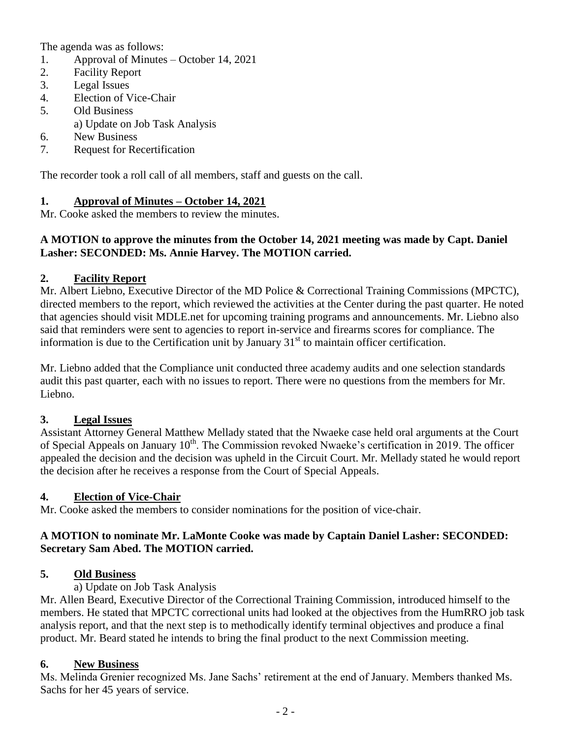The agenda was as follows:

- 1. Approval of Minutes October 14, 2021
- 2. Facility Report
- 3. Legal Issues
- 4. Election of Vice-Chair
- 5. Old Business
	- a) Update on Job Task Analysis
- 6. New Business
- 7. Request for Recertification

The recorder took a roll call of all members, staff and guests on the call.

# **1. Approval of Minutes – October 14, 2021**

Mr. Cooke asked the members to review the minutes.

#### **A MOTION to approve the minutes from the October 14, 2021 meeting was made by Capt. Daniel Lasher: SECONDED: Ms. Annie Harvey. The MOTION carried.**

#### **2. Facility Report**

Mr. Albert Liebno, Executive Director of the MD Police & Correctional Training Commissions (MPCTC), directed members to the report, which reviewed the activities at the Center during the past quarter. He noted that agencies should visit MDLE.net for upcoming training programs and announcements. Mr. Liebno also said that reminders were sent to agencies to report in-service and firearms scores for compliance. The information is due to the Certification unit by January  $31<sup>st</sup>$  to maintain officer certification.

Mr. Liebno added that the Compliance unit conducted three academy audits and one selection standards audit this past quarter, each with no issues to report. There were no questions from the members for Mr. Liebno.

# **3. Legal Issues**

Assistant Attorney General Matthew Mellady stated that the Nwaeke case held oral arguments at the Court of Special Appeals on January 10<sup>th</sup>. The Commission revoked Nwaeke's certification in 2019. The officer appealed the decision and the decision was upheld in the Circuit Court. Mr. Mellady stated he would report the decision after he receives a response from the Court of Special Appeals.

# **4. Election of Vice-Chair**

Mr. Cooke asked the members to consider nominations for the position of vice-chair.

#### **A MOTION to nominate Mr. LaMonte Cooke was made by Captain Daniel Lasher: SECONDED: Secretary Sam Abed. The MOTION carried.**

#### **5. Old Business**

a) Update on Job Task Analysis

Mr. Allen Beard, Executive Director of the Correctional Training Commission, introduced himself to the members. He stated that MPCTC correctional units had looked at the objectives from the HumRRO job task analysis report, and that the next step is to methodically identify terminal objectives and produce a final product. Mr. Beard stated he intends to bring the final product to the next Commission meeting.

#### **6. New Business**

Ms. Melinda Grenier recognized Ms. Jane Sachs' retirement at the end of January. Members thanked Ms. Sachs for her 45 years of service.